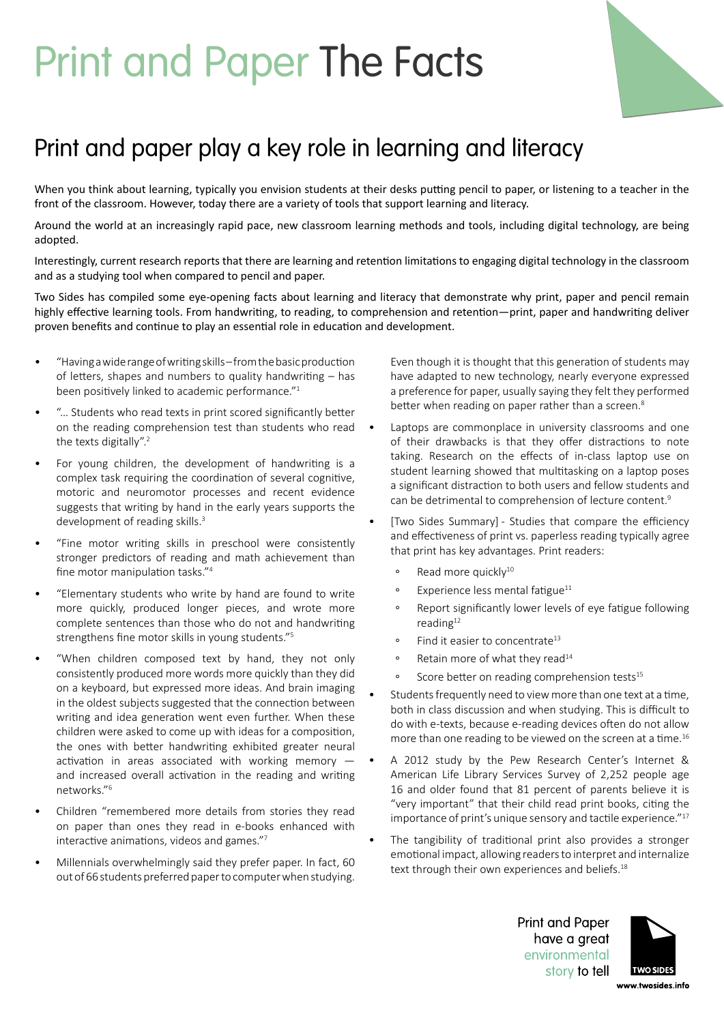## Print and Paper The Facts



## Print and paper play a key role in learning and literacy

When you think about learning, typically you envision students at their desks putting pencil to paper, or listening to a teacher in the front of the classroom. However, today there are a variety of tools that support learning and literacy.

Around the world at an increasingly rapid pace, new classroom learning methods and tools, including digital technology, are being adopted.

Interestingly, current research reports that there are learning and retention limitations to engaging digital technology in the classroom and as a studying tool when compared to pencil and paper.

Two Sides has compiled some eye-opening facts about learning and literacy that demonstrate why print, paper and pencil remain highly effective learning tools. From handwriting, to reading, to comprehension and retention—print, paper and handwriting deliver proven benefits and continue to play an essential role in education and development.

- "Having a wide range of writing skills from the basic production of letters, shapes and numbers to quality handwriting – has been positively linked to academic performance."<sup>1</sup>
- "… Students who read texts in print scored significantly better on the reading comprehension test than students who read the texts digitally".<sup>2</sup>
- For young children, the development of handwriting is a complex task requiring the coordination of several cognitive, motoric and neuromotor processes and recent evidence suggests that writing by hand in the early years supports the development of reading skills.<sup>3</sup>
- "Fine motor writing skills in preschool were consistently stronger predictors of reading and math achievement than fine motor manipulation tasks."<sup>4</sup>
- "Elementary students who write by hand are found to write more quickly, produced longer pieces, and wrote more complete sentences than those who do not and handwriting strengthens fine motor skills in young students."<sup>5</sup>
- "When children composed text by hand, they not only consistently produced more words more quickly than they did on a keyboard, but expressed more ideas. And brain imaging in the oldest subjects suggested that the connection between writing and idea generation went even further. When these children were asked to come up with ideas for a composition, the ones with better handwriting exhibited greater neural activation in areas associated with working memory and increased overall activation in the reading and writing networks."<sup>6</sup>
- Children "remembered more details from stories they read on paper than ones they read in e-books enhanced with interactive animations, videos and games."<sup>7</sup>
- Millennials overwhelmingly said they prefer paper. In fact, 60 out of 66 students preferred paper to computer when studying.

Even though it is thought that this generation of students may have adapted to new technology, nearly everyone expressed a preference for paper, usually saying they felt they performed better when reading on paper rather than a screen.<sup>8</sup>

- Laptops are commonplace in university classrooms and one of their drawbacks is that they offer distractions to note taking. Research on the effects of in-class laptop use on student learning showed that multitasking on a laptop poses a significant distraction to both users and fellow students and can be detrimental to comprehension of lecture content.<sup>9</sup>
- [Two Sides Summary] Studies that compare the efficiency and effectiveness of print vs. paperless reading typically agree that print has key advantages. Print readers:
	- ∘ Read more quickly10
	- ∘ Experience less mental fatigue<sup>11</sup>
	- ∘ Report significantly lower levels of eye fatigue following reading $12$
	- ∘ Find it easier to concentrate<sup>13</sup>
	- ∘ Retain more of what they read<sup>14</sup>
	- ∘ Score better on reading comprehension tests15
- Students frequently need to view more than one text at a time, both in class discussion and when studying. This is difficult to do with e-texts, because e-reading devices often do not allow more than one reading to be viewed on the screen at a time.<sup>16</sup>
- A 2012 study by the Pew Research Center's Internet & American Life Library Services Survey of 2,252 people age 16 and older found that 81 percent of parents believe it is "very important" that their child read print books, citing the importance of print's unique sensory and tactile experience."<sup>17</sup>
- The tangibility of traditional print also provides a stronger emotional impact, allowing readers to interpret and internalize text through their own experiences and beliefs.<sup>18</sup>